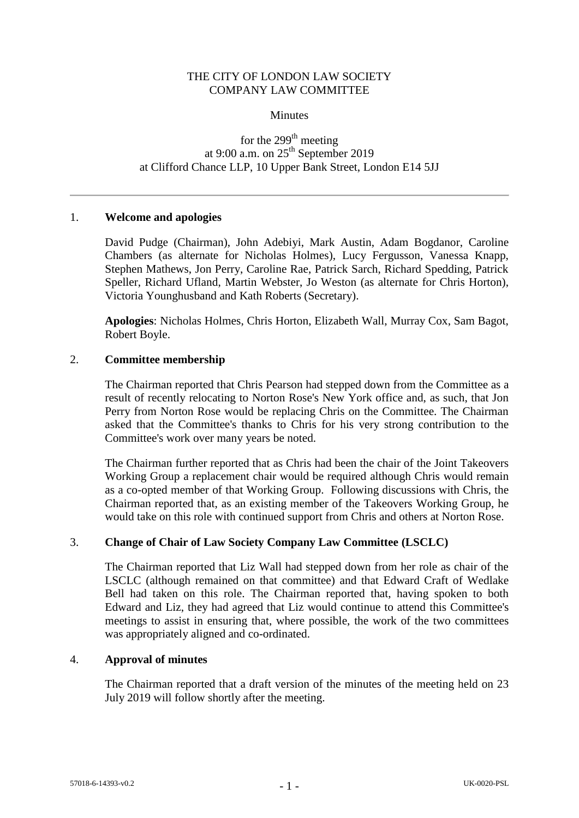## THE CITY OF LONDON LAW SOCIETY COMPANY LAW COMMITTEE

#### **Minutes**

# for the 299<sup>th</sup> meeting at 9:00 a.m. on  $25<sup>th</sup>$  September 2019 at Clifford Chance LLP, 10 Upper Bank Street, London E14 5JJ

#### 1. **Welcome and apologies**

David Pudge (Chairman), John Adebiyi, Mark Austin, Adam Bogdanor, Caroline Chambers (as alternate for Nicholas Holmes), Lucy Fergusson, Vanessa Knapp, Stephen Mathews, Jon Perry, Caroline Rae, Patrick Sarch, Richard Spedding, Patrick Speller, Richard Ufland, Martin Webster, Jo Weston (as alternate for Chris Horton), Victoria Younghusband and Kath Roberts (Secretary).

**Apologies**: Nicholas Holmes, Chris Horton, Elizabeth Wall, Murray Cox, Sam Bagot, Robert Boyle.

## 2. **Committee membership**

The Chairman reported that Chris Pearson had stepped down from the Committee as a result of recently relocating to Norton Rose's New York office and, as such, that Jon Perry from Norton Rose would be replacing Chris on the Committee. The Chairman asked that the Committee's thanks to Chris for his very strong contribution to the Committee's work over many years be noted.

The Chairman further reported that as Chris had been the chair of the Joint Takeovers Working Group a replacement chair would be required although Chris would remain as a co-opted member of that Working Group. Following discussions with Chris, the Chairman reported that, as an existing member of the Takeovers Working Group, he would take on this role with continued support from Chris and others at Norton Rose.

### 3. **Change of Chair of Law Society Company Law Committee (LSCLC)**

The Chairman reported that Liz Wall had stepped down from her role as chair of the LSCLC (although remained on that committee) and that Edward Craft of Wedlake Bell had taken on this role. The Chairman reported that, having spoken to both Edward and Liz, they had agreed that Liz would continue to attend this Committee's meetings to assist in ensuring that, where possible, the work of the two committees was appropriately aligned and co-ordinated.

### 4. **Approval of minutes**

The Chairman reported that a draft version of the minutes of the meeting held on 23 July 2019 will follow shortly after the meeting.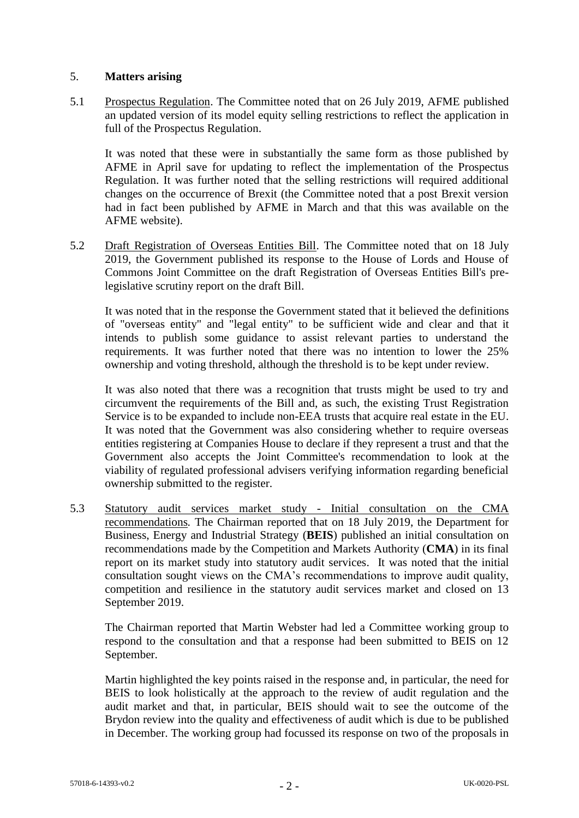## 5. **Matters arising**

5.1 Prospectus Regulation. The Committee noted that on 26 July 2019, AFME published an updated version of its model equity selling restrictions to reflect the application in full of the Prospectus Regulation.

It was noted that these were in substantially the same form as those published by AFME in April save for updating to reflect the implementation of the Prospectus Regulation. It was further noted that the selling restrictions will required additional changes on the occurrence of Brexit (the Committee noted that a post Brexit version had in fact been published by AFME in March and that this was available on the AFME website).

5.2 Draft Registration of Overseas Entities Bill. The Committee noted that on 18 July 2019, the Government published its response to the House of Lords and House of Commons Joint Committee on the draft Registration of Overseas Entities Bill's prelegislative scrutiny report on the draft Bill.

It was noted that in the response the Government stated that it believed the definitions of "overseas entity" and "legal entity" to be sufficient wide and clear and that it intends to publish some guidance to assist relevant parties to understand the requirements. It was further noted that there was no intention to lower the 25% ownership and voting threshold, although the threshold is to be kept under review.

It was also noted that there was a recognition that trusts might be used to try and circumvent the requirements of the Bill and, as such, the existing Trust Registration Service is to be expanded to include non-EEA trusts that acquire real estate in the EU. It was noted that the Government was also considering whether to require overseas entities registering at Companies House to declare if they represent a trust and that the Government also accepts the Joint Committee's recommendation to look at the viability of regulated professional advisers verifying information regarding beneficial ownership submitted to the register.

5.3 Statutory audit services market study - Initial consultation on the CMA recommendations*.* The Chairman reported that on 18 July 2019, the Department for Business, Energy and Industrial Strategy (**BEIS**) published an initial consultation on recommendations made by the Competition and Markets Authority (**CMA**) in its final report on its market study into statutory audit services. It was noted that the initial consultation sought views on the CMA's recommendations to improve audit quality, competition and resilience in the statutory audit services market and closed on 13 September 2019.

The Chairman reported that Martin Webster had led a Committee working group to respond to the consultation and that a response had been submitted to BEIS on 12 September.

Martin highlighted the key points raised in the response and, in particular, the need for BEIS to look holistically at the approach to the review of audit regulation and the audit market and that, in particular, BEIS should wait to see the outcome of the Brydon review into the quality and effectiveness of audit which is due to be published in December. The working group had focussed its response on two of the proposals in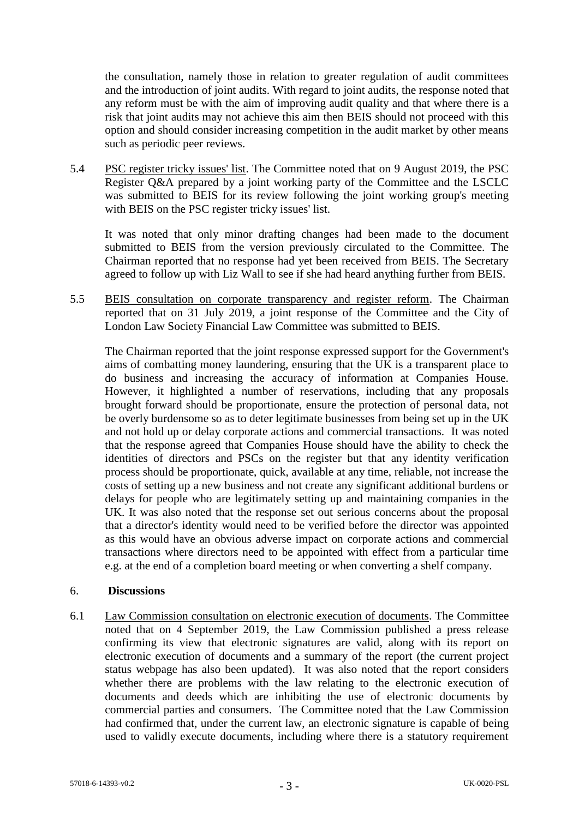the consultation, namely those in relation to greater regulation of audit committees and the introduction of joint audits. With regard to joint audits, the response noted that any reform must be with the aim of improving audit quality and that where there is a risk that joint audits may not achieve this aim then BEIS should not proceed with this option and should consider increasing competition in the audit market by other means such as periodic peer reviews.

5.4 PSC register tricky issues' list. The Committee noted that on 9 August 2019, the PSC Register Q&A prepared by a joint working party of the Committee and the LSCLC was submitted to BEIS for its review following the joint working group's meeting with BEIS on the PSC register tricky issues' list.

It was noted that only minor drafting changes had been made to the document submitted to BEIS from the version previously circulated to the Committee. The Chairman reported that no response had yet been received from BEIS. The Secretary agreed to follow up with Liz Wall to see if she had heard anything further from BEIS.

5.5 BEIS consultation on corporate transparency and register reform. The Chairman reported that on 31 July 2019, a joint response of the Committee and the City of London Law Society Financial Law Committee was submitted to BEIS.

The Chairman reported that the joint response expressed support for the Government's aims of combatting money laundering, ensuring that the UK is a transparent place to do business and increasing the accuracy of information at Companies House. However, it highlighted a number of reservations, including that any proposals brought forward should be proportionate, ensure the protection of personal data, not be overly burdensome so as to deter legitimate businesses from being set up in the UK and not hold up or delay corporate actions and commercial transactions. It was noted that the response agreed that Companies House should have the ability to check the identities of directors and PSCs on the register but that any identity verification process should be proportionate, quick, available at any time, reliable, not increase the costs of setting up a new business and not create any significant additional burdens or delays for people who are legitimately setting up and maintaining companies in the UK. It was also noted that the response set out serious concerns about the proposal that a director's identity would need to be verified before the director was appointed as this would have an obvious adverse impact on corporate actions and commercial transactions where directors need to be appointed with effect from a particular time e.g. at the end of a completion board meeting or when converting a shelf company.

### 6. **Discussions**

6.1 Law Commission consultation on electronic execution of documents. The Committee noted that on 4 September 2019, the Law Commission published a press release confirming its view that electronic signatures are valid, along with its report on electronic execution of documents and a summary of the report (the current project status webpage has also been updated). It was also noted that the report considers whether there are problems with the law relating to the electronic execution of documents and deeds which are inhibiting the use of electronic documents by commercial parties and consumers. The Committee noted that the Law Commission had confirmed that, under the current law, an electronic signature is capable of being used to validly execute documents, including where there is a statutory requirement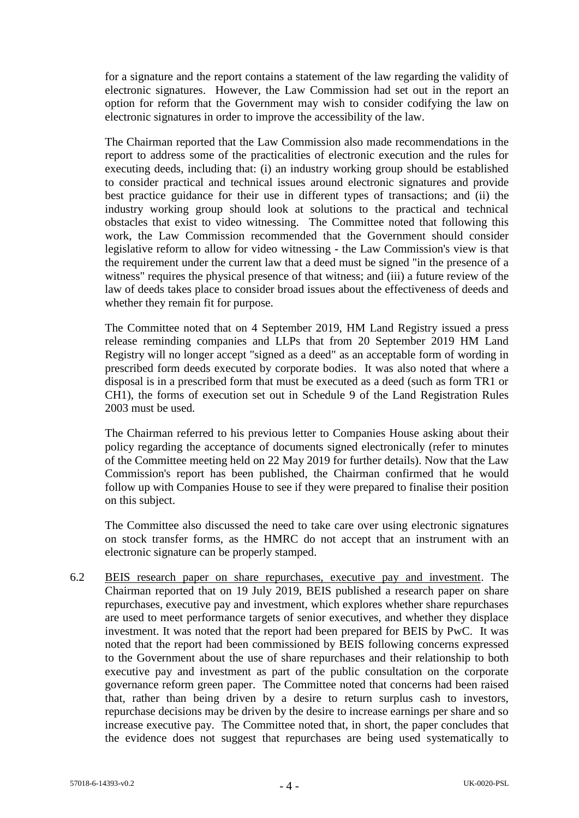for a signature and the report contains a statement of the law regarding the validity of electronic signatures. However, the Law Commission had set out in the report an option for reform that the Government may wish to consider codifying the law on electronic signatures in order to improve the accessibility of the law.

The Chairman reported that the Law Commission also made recommendations in the report to address some of the practicalities of electronic execution and the rules for executing deeds, including that: (i) an industry working group should be established to consider practical and technical issues around electronic signatures and provide best practice guidance for their use in different types of transactions; and (ii) the industry working group should look at solutions to the practical and technical obstacles that exist to video witnessing. The Committee noted that following this work, the Law Commission recommended that the Government should consider legislative reform to allow for video witnessing - the Law Commission's view is that the requirement under the current law that a deed must be signed "in the presence of a witness" requires the physical presence of that witness; and (iii) a future review of the law of deeds takes place to consider broad issues about the effectiveness of deeds and whether they remain fit for purpose.

The Committee noted that on 4 September 2019, HM Land Registry issued a press release reminding companies and LLPs that from 20 September 2019 HM Land Registry will no longer accept "signed as a deed" as an acceptable form of wording in prescribed form deeds executed by corporate bodies. It was also noted that where a disposal is in a prescribed form that must be executed as a deed (such as form TR1 or CH1), the forms of execution set out in Schedule 9 of the Land Registration Rules 2003 must be used.

The Chairman referred to his previous letter to Companies House asking about their policy regarding the acceptance of documents signed electronically (refer to minutes of the Committee meeting held on 22 May 2019 for further details). Now that the Law Commission's report has been published, the Chairman confirmed that he would follow up with Companies House to see if they were prepared to finalise their position on this subject.

The Committee also discussed the need to take care over using electronic signatures on stock transfer forms, as the HMRC do not accept that an instrument with an electronic signature can be properly stamped.

6.2 BEIS research paper on share repurchases, executive pay and investment. The Chairman reported that on 19 July 2019, BEIS published a research paper on share repurchases, executive pay and investment, which explores whether share repurchases are used to meet performance targets of senior executives, and whether they displace investment. It was noted that the report had been prepared for BEIS by PwC. It was noted that the report had been commissioned by BEIS following concerns expressed to the Government about the use of share repurchases and their relationship to both executive pay and investment as part of the public consultation on the corporate governance reform green paper. The Committee noted that concerns had been raised that, rather than being driven by a desire to return surplus cash to investors, repurchase decisions may be driven by the desire to increase earnings per share and so increase executive pay. The Committee noted that, in short, the paper concludes that the evidence does not suggest that repurchases are being used systematically to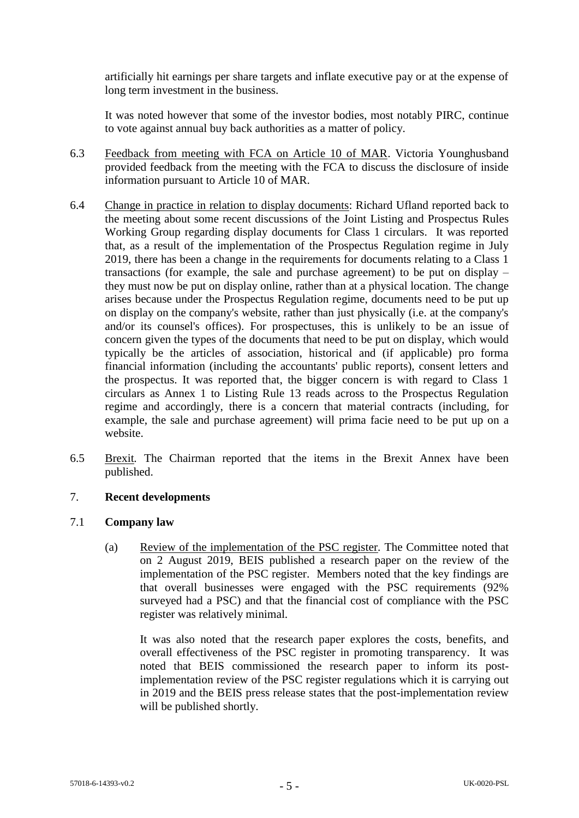artificially hit earnings per share targets and inflate executive pay or at the expense of long term investment in the business.

It was noted however that some of the investor bodies, most notably PIRC, continue to vote against annual buy back authorities as a matter of policy.

- 6.3 Feedback from meeting with FCA on Article 10 of MAR. Victoria Younghusband provided feedback from the meeting with the FCA to discuss the disclosure of inside information pursuant to Article 10 of MAR.
- 6.4 Change in practice in relation to display documents: Richard Ufland reported back to the meeting about some recent discussions of the Joint Listing and Prospectus Rules Working Group regarding display documents for Class 1 circulars. It was reported that, as a result of the implementation of the Prospectus Regulation regime in July 2019, there has been a change in the requirements for documents relating to a Class 1 transactions (for example, the sale and purchase agreement) to be put on display – they must now be put on display online, rather than at a physical location. The change arises because under the Prospectus Regulation regime, documents need to be put up on display on the company's website, rather than just physically (i.e. at the company's and/or its counsel's offices). For prospectuses, this is unlikely to be an issue of concern given the types of the documents that need to be put on display, which would typically be the articles of association, historical and (if applicable) pro forma financial information (including the accountants' public reports), consent letters and the prospectus. It was reported that, the bigger concern is with regard to Class 1 circulars as Annex 1 to Listing Rule 13 reads across to the Prospectus Regulation regime and accordingly, there is a concern that material contracts (including, for example, the sale and purchase agreement) will prima facie need to be put up on a website.
- 6.5 Brexit*.* The Chairman reported that the items in the Brexit Annex have been published.

## 7. **Recent developments**

### 7.1 **Company law**

(a) Review of the implementation of the PSC register*.* The Committee noted that on 2 August 2019, BEIS published a research paper on the review of the implementation of the PSC register. Members noted that the key findings are that overall businesses were engaged with the PSC requirements (92% surveyed had a PSC) and that the financial cost of compliance with the PSC register was relatively minimal.

It was also noted that the research paper explores the costs, benefits, and overall effectiveness of the PSC register in promoting transparency. It was noted that BEIS commissioned the research paper to inform its postimplementation review of the PSC register regulations which it is carrying out in 2019 and the BEIS press release states that the post-implementation review will be published shortly.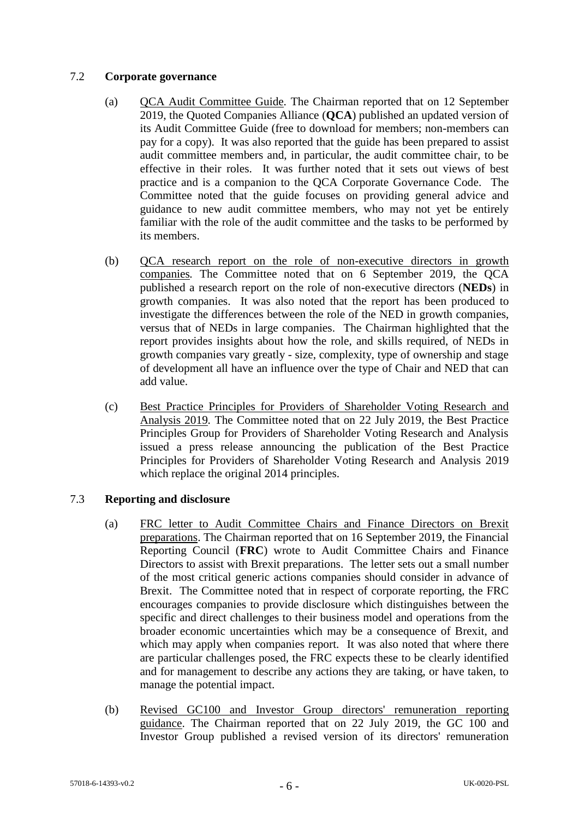## 7.2 **Corporate governance**

- (a) QCA Audit Committee Guide*.* The Chairman reported that on 12 September 2019, the Quoted Companies Alliance (**QCA**) published an updated version of its Audit Committee Guide (free to download for members; non-members can pay for a copy). It was also reported that the guide has been prepared to assist audit committee members and, in particular, the audit committee chair, to be effective in their roles. It was further noted that it sets out views of best practice and is a companion to the QCA Corporate Governance Code. The Committee noted that the guide focuses on providing general advice and guidance to new audit committee members, who may not yet be entirely familiar with the role of the audit committee and the tasks to be performed by its members.
- (b) QCA research report on the role of non-executive directors in growth companies*.* The Committee noted that on 6 September 2019, the QCA published a research report on the role of non-executive directors (**NEDs**) in growth companies. It was also noted that the report has been produced to investigate the differences between the role of the NED in growth companies, versus that of NEDs in large companies. The Chairman highlighted that the report provides insights about how the role, and skills required, of NEDs in growth companies vary greatly - size, complexity, type of ownership and stage of development all have an influence over the type of Chair and NED that can add value.
- (c) Best Practice Principles for Providers of Shareholder Voting Research and Analysis 2019*.* The Committee noted that on 22 July 2019, the Best Practice Principles Group for Providers of Shareholder Voting Research and Analysis issued a press release announcing the publication of the Best Practice Principles for Providers of Shareholder Voting Research and Analysis 2019 which replace the original 2014 principles.

# 7.3 **Reporting and disclosure**

- (a) FRC letter to Audit Committee Chairs and Finance Directors on Brexit preparations. The Chairman reported that on 16 September 2019, the Financial Reporting Council (**FRC**) wrote to Audit Committee Chairs and Finance Directors to assist with Brexit preparations. The letter sets out a small number of the most critical generic actions companies should consider in advance of Brexit. The Committee noted that in respect of corporate reporting, the FRC encourages companies to provide disclosure which distinguishes between the specific and direct challenges to their business model and operations from the broader economic uncertainties which may be a consequence of Brexit, and which may apply when companies report. It was also noted that where there are particular challenges posed, the FRC expects these to be clearly identified and for management to describe any actions they are taking, or have taken, to manage the potential impact.
- (b) Revised GC100 and Investor Group directors' remuneration reporting guidance. The Chairman reported that on 22 July 2019, the GC 100 and Investor Group published a revised version of its directors' remuneration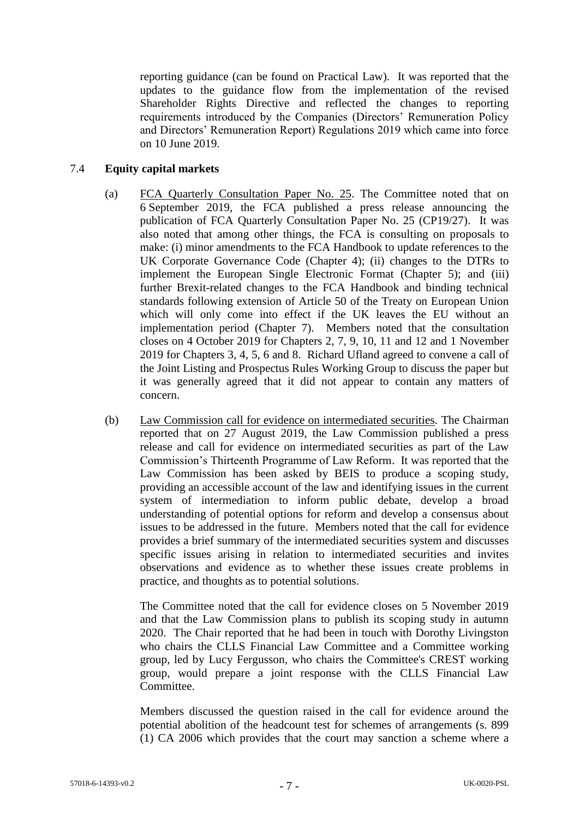reporting guidance (can be found on Practical Law). It was reported that the updates to the guidance flow from the implementation of the revised Shareholder Rights Directive and reflected the changes to reporting requirements introduced by the Companies (Directors' Remuneration Policy and Directors' Remuneration Report) Regulations 2019 which came into force on 10 June 2019.

## 7.4 **Equity capital markets**

- (a) FCA Quarterly Consultation Paper No. 25. The Committee noted that on 6 September 2019, the FCA published a press release announcing the publication of FCA Quarterly Consultation Paper No. 25 (CP19/27). It was also noted that among other things, the FCA is consulting on proposals to make: (i) minor amendments to the FCA Handbook to update references to the UK Corporate Governance Code (Chapter 4); (ii) changes to the DTRs to implement the European Single Electronic Format (Chapter 5); and (iii) further Brexit-related changes to the FCA Handbook and binding technical standards following extension of Article 50 of the Treaty on European Union which will only come into effect if the UK leaves the EU without an implementation period (Chapter 7). Members noted that the consultation closes on 4 October 2019 for Chapters 2, 7, 9, 10, 11 and 12 and 1 November 2019 for Chapters 3, 4, 5, 6 and 8. Richard Ufland agreed to convene a call of the Joint Listing and Prospectus Rules Working Group to discuss the paper but it was generally agreed that it did not appear to contain any matters of concern.
- (b) Law Commission call for evidence on intermediated securities*.* The Chairman reported that on 27 August 2019, the Law Commission published a press release and call for evidence on intermediated securities as part of the Law Commission's Thirteenth Programme of Law Reform. It was reported that the Law Commission has been asked by BEIS to produce a scoping study, providing an accessible account of the law and identifying issues in the current system of intermediation to inform public debate, develop a broad understanding of potential options for reform and develop a consensus about issues to be addressed in the future. Members noted that the call for evidence provides a brief summary of the intermediated securities system and discusses specific issues arising in relation to intermediated securities and invites observations and evidence as to whether these issues create problems in practice, and thoughts as to potential solutions.

The Committee noted that the call for evidence closes on 5 November 2019 and that the Law Commission plans to publish its scoping study in autumn 2020. The Chair reported that he had been in touch with Dorothy Livingston who chairs the CLLS Financial Law Committee and a Committee working group, led by Lucy Fergusson, who chairs the Committee's CREST working group, would prepare a joint response with the CLLS Financial Law Committee.

Members discussed the question raised in the call for evidence around the potential abolition of the headcount test for schemes of arrangements (s. 899 (1) CA 2006 which provides that the court may sanction a scheme where a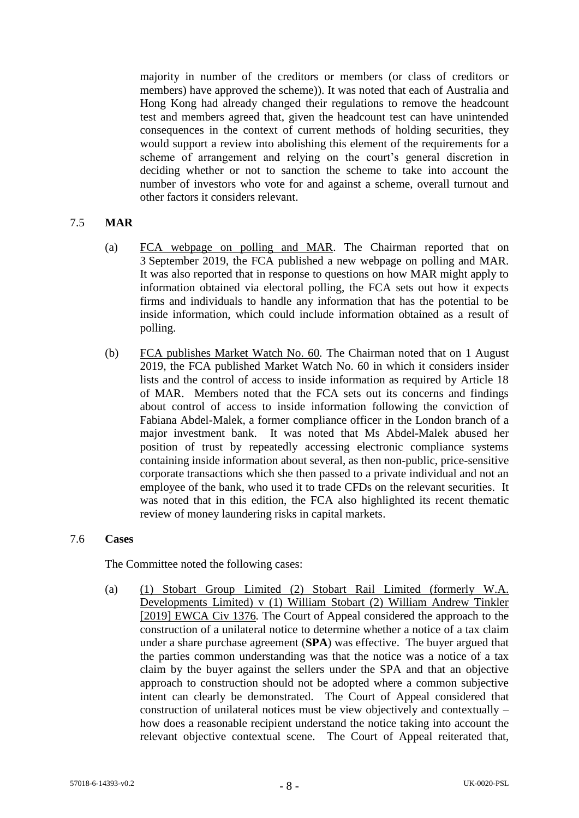majority in number of the creditors or members (or class of creditors or members) have approved the scheme)). It was noted that each of Australia and Hong Kong had already changed their regulations to remove the headcount test and members agreed that, given the headcount test can have unintended consequences in the context of current methods of holding securities, they would support a review into abolishing this element of the requirements for a scheme of arrangement and relying on the court's general discretion in deciding whether or not to sanction the scheme to take into account the number of investors who vote for and against a scheme, overall turnout and other factors it considers relevant.

## 7.5 **MAR**

- (a) FCA webpage on polling and MAR. The Chairman reported that on 3 September 2019, the FCA published a new webpage on polling and MAR. It was also reported that in response to questions on how MAR might apply to information obtained via electoral polling, the FCA sets out how it expects firms and individuals to handle any information that has the potential to be inside information, which could include information obtained as a result of polling.
- (b) FCA publishes Market Watch No. 60*.* The Chairman noted that on 1 August 2019, the FCA published Market Watch No. 60 in which it considers insider lists and the control of access to inside information as required by Article 18 of MAR. Members noted that the FCA sets out its concerns and findings about control of access to inside information following the conviction of Fabiana Abdel-Malek, a former compliance officer in the London branch of a major investment bank. It was noted that Ms Abdel-Malek abused her position of trust by repeatedly accessing electronic compliance systems containing inside information about several, as then non-public, price-sensitive corporate transactions which she then passed to a private individual and not an employee of the bank, who used it to trade CFDs on the relevant securities. It was noted that in this edition, the FCA also highlighted its recent thematic review of money laundering risks in capital markets.

#### 7.6 **Cases**

The Committee noted the following cases:

(a) (1) Stobart Group Limited (2) Stobart Rail Limited (formerly W.A. Developments Limited) v (1) William Stobart (2) William Andrew Tinkler [2019] EWCA Civ 1376*.* The Court of Appeal considered the approach to the construction of a unilateral notice to determine whether a notice of a tax claim under a share purchase agreement (**SPA**) was effective. The buyer argued that the parties common understanding was that the notice was a notice of a tax claim by the buyer against the sellers under the SPA and that an objective approach to construction should not be adopted where a common subjective intent can clearly be demonstrated. The Court of Appeal considered that construction of unilateral notices must be view objectively and contextually – how does a reasonable recipient understand the notice taking into account the relevant objective contextual scene. The Court of Appeal reiterated that,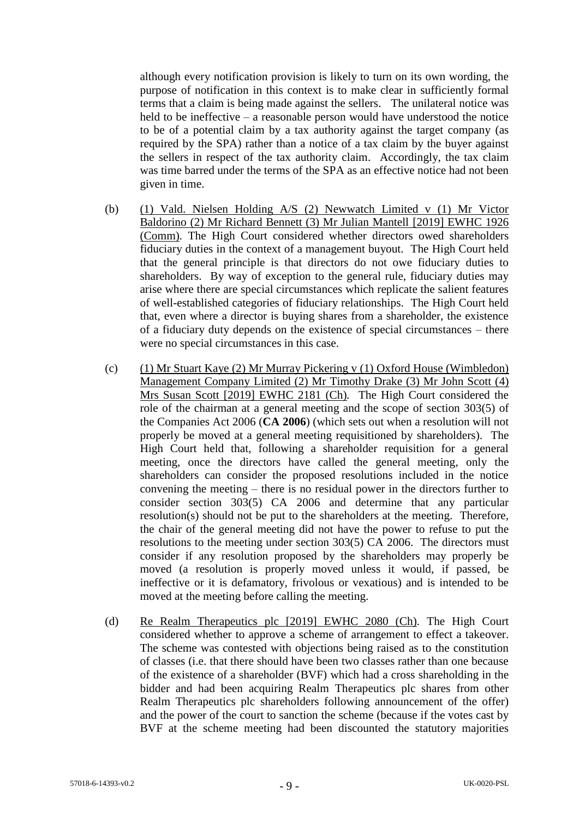although every notification provision is likely to turn on its own wording, the purpose of notification in this context is to make clear in sufficiently formal terms that a claim is being made against the sellers. The unilateral notice was held to be ineffective – a reasonable person would have understood the notice to be of a potential claim by a tax authority against the target company (as required by the SPA) rather than a notice of a tax claim by the buyer against the sellers in respect of the tax authority claim. Accordingly, the tax claim was time barred under the terms of the SPA as an effective notice had not been given in time.

- (b) (1) Vald. Nielsen Holding A/S (2) Newwatch Limited v (1) Mr Victor Baldorino (2) Mr Richard Bennett (3) Mr Julian Mantell [2019] EWHC 1926 (Comm)*.* The High Court considered whether directors owed shareholders fiduciary duties in the context of a management buyout. The High Court held that the general principle is that directors do not owe fiduciary duties to shareholders. By way of exception to the general rule, fiduciary duties may arise where there are special circumstances which replicate the salient features of well-established categories of fiduciary relationships. The High Court held that, even where a director is buying shares from a shareholder, the existence of a fiduciary duty depends on the existence of special circumstances – there were no special circumstances in this case.
- (c) (1) Mr Stuart Kaye (2) Mr Murray Pickering v (1) Oxford House (Wimbledon) Management Company Limited (2) Mr Timothy Drake (3) Mr John Scott (4) Mrs Susan Scott [2019] EWHC 2181 (Ch)*.* The High Court considered the role of the chairman at a general meeting and the scope of section 303(5) of the Companies Act 2006 (**CA 2006**) (which sets out when a resolution will not properly be moved at a general meeting requisitioned by shareholders). The High Court held that, following a shareholder requisition for a general meeting, once the directors have called the general meeting, only the shareholders can consider the proposed resolutions included in the notice convening the meeting – there is no residual power in the directors further to consider section 303(5) CA 2006 and determine that any particular resolution(s) should not be put to the shareholders at the meeting. Therefore, the chair of the general meeting did not have the power to refuse to put the resolutions to the meeting under section 303(5) CA 2006. The directors must consider if any resolution proposed by the shareholders may properly be moved (a resolution is properly moved unless it would, if passed, be ineffective or it is defamatory, frivolous or vexatious) and is intended to be moved at the meeting before calling the meeting.
- (d) Re Realm Therapeutics plc [2019] EWHC 2080 (Ch)*.* The High Court considered whether to approve a scheme of arrangement to effect a takeover. The scheme was contested with objections being raised as to the constitution of classes (i.e. that there should have been two classes rather than one because of the existence of a shareholder (BVF) which had a cross shareholding in the bidder and had been acquiring Realm Therapeutics plc shares from other Realm Therapeutics plc shareholders following announcement of the offer) and the power of the court to sanction the scheme (because if the votes cast by BVF at the scheme meeting had been discounted the statutory majorities